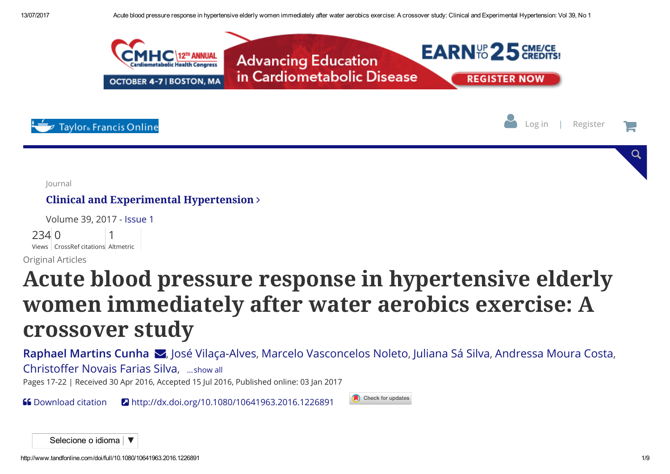

234 0 Views CrossRef citations Altmetric 1

Original Articles

# Acute blood pressure response in hypertensive elderly women immediately after water aerobics exercise: A crossover study

[Raphael](http://www.tandfonline.com/author/Cunha%2C+Raphael+Martins) Martins Cunha M, José [Vilaça-Alves](http://www.tandfonline.com/author/Vila%C3%A7a-Alves%2C+Jos%C3%A9), Marcelo [Vasconcelos](http://www.tandfonline.com/author/Noleto%2C+Marcelo+Vasconcelos) Noleto, [Juliana](http://www.tandfonline.com/author/Silva%2C+Juliana+S%C3%A1) Sá Silva, [Andressa](http://www.tandfonline.com/author/Costa%2C+Andressa+Moura) Moura Costa,

[Christoffer](http://www.tandfonline.com/author/Silva%2C+Christoffer+Novais+Farias) Novais Farias Silva, ... show all

Pages 17-22 | Received 30 Apr 2016, Accepted 15 Jul 2016, Published online: 03 Jan 2017

[Download](http://www.tandfonline.com/action/showCitFormats?doi=10.1080%2F10641963.2016.1226891) citation <http://dx.doi.org/10.1080/10641963.2016.1226891>

Check for updates

[Selecione](javascript:void(0)) o idioma V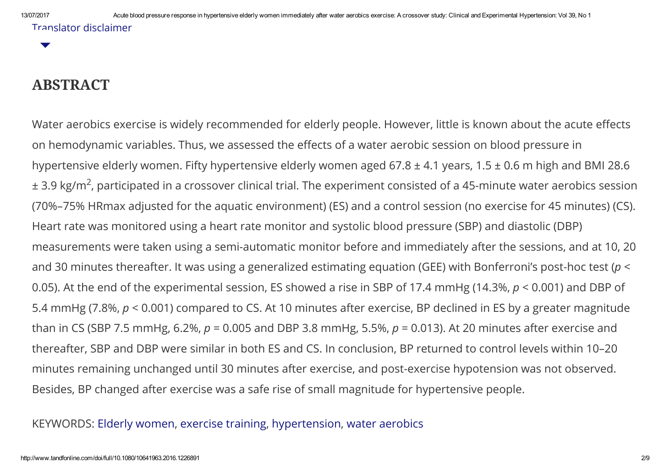$\blacktriangledown$ 

[Translator](http://www.tandfonline.com/action/clickThrough?id=3310&url=%2Fpage%2Fterms-and-conditions%23googletranslate&loc=%2Fdoi%2Ffull%2F10.1080%2F10641963.2016.1226891&pubId=50778642&placeholderId=1084&productId=2797) [dis](http://www.tandfonline.com/doi/ref/10.1080/10641963.2016.1226891?scroll=top)[claim](http://www.tandfonline.com/doi/citedby/10.1080/10641963.2016.1226891?scroll=top&needAccess=true)er

# ABSTRACT

Water aerobics exercise is widely recommended for elderly people. However, little is known about the acute effects on hemodynamic variables. Thus, we assessed the effects of a water aerobic session on blood pressure in hypertensive elderly women. Fifty hypertensive elderly women aged 67.8 ± 4.1 years, 1.5 ± 0.6 m high and BMI 28.6  $\pm$  3.9 kg/m<sup>2</sup>, participated in a crossover clinical trial. The experiment consisted of a 45-minute water aerobics session (70%–75% HRmax adjusted for the aquatic environment) (ES) and a control session (no exercise for 45 minutes) (CS). Heart rate was monitored using a heart rate monitor and systolic blood pressure (SBP) and diastolic (DBP) measurements were taken using a semi-automatic monitor before and immediately after the sessions, and at 10, 20 and 30 minutes thereafter. It was using a generalized estimating equation (GEE) with Bonferroni's post-hoc test (*p* < 0.05). At the end of the experimental session, ES showed a rise in SBP of 17.4 mmHg (14.3%, *p* < 0.001) and DBP of 5.4 mmHg (7.8%, *p* < 0.001) compared to CS. At 10 minutes after exercise, BP declined in ES by a greater magnitude than in CS (SBP 7.5 mmHg, 6.2%, *p* = 0.005 and DBP 3.8 mmHg, 5.5%, *p* = 0.013). At 20 minutes after exercise and thereafter, SBP and DBP were similar in both ES and CS. In conclusion, BP returned to control levels within 10–20 minutes remaining unchanged until 30 minutes after exercise, and post-exercise hypotension was not observed. Besides, BP changed after exercise was a safe rise of small magnitude for hypertensive people.

## KEYWORDS: Elderly [women](http://www.tandfonline.com/keyword/Elderly+Women), [exercise](http://www.tandfonline.com/keyword/Exercise+Training) training, [hypertension](http://www.tandfonline.com/keyword/Hypertension), water [aerobics](http://www.tandfonline.com/keyword/Water+Aerobics)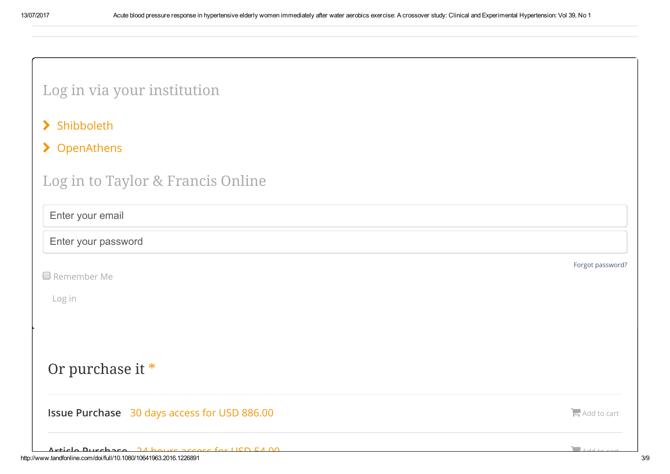# Log in via your institution

- > [Shibboleth](http://www.tandfonline.com/action/ssostart?federationSelect=All&redirectUri=%2Fdoi%2Ffull%2F10.1080%2F10641963.2016.1226891)
- > [OpenAthens](http://www.tandfonline.com/action/ssostart?idp=https%3A%2F%2Fidp.eduserv.org.uk%2Fopenathens&redirectUri=%2Fdoi%2Ffull%2F10.1080%2F10641963.2016.1226891)

# Log in to Taylor & Francis Online

Enter your email

Enter your password

Remember Me

Log in

## Or purchase it \*

Issue Purchase 30 days access for USD 886.00

Add to cart

Forgot [password?](https://www.tandfonline.com/action/requestResetPassword?redirectUri=%2Fdoi%2Ffull%2F10.1080%2F10641963.2016.1226891)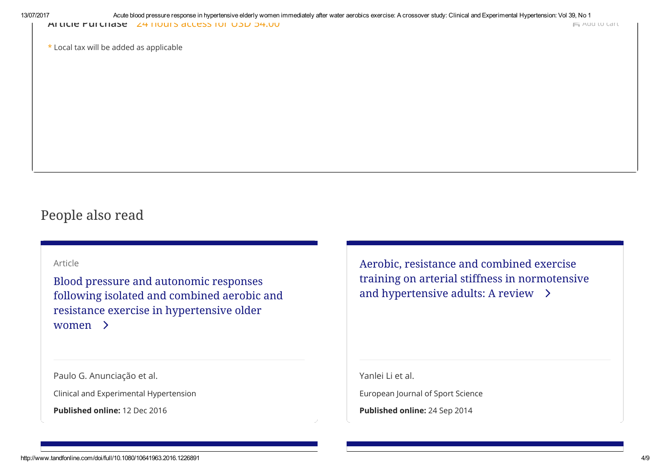ALTICLE LARGE 24 HOURS ACCESS FOR OST OF SERVICE AND ARRANGEMENT CONTROLLER TO CARE AND CONTROLLER AND CONTROLLER

\* Local tax will be added as applicable

## People also read

#### Article

Blood pressure and autonomic responses following isolated and combined aerobic and resistance exercise in [hypertensive](http://www.tandfonline.com/doi/full/10.1080/10641963.2016.1200601?src=recsys) older women

Paulo G. [Anunciação](http://www.tandfonline.com/author/Anuncia%C3%A7%C3%A3o%2C+Paulo+G) et al.

Clinical and Experimental Hypertension

Published online: 12 Dec 2016

Aerobic, resistance and combined exercise training on arterial stiffness in [normotensive](http://www.tandfonline.com/doi/full/10.1080/17461391.2014.955129?src=recsys) and hypertensive adults: A review

[Yanlei](http://www.tandfonline.com/author/Li%2C+Yanlei) Li et al.

European Journal of Sport Science

Published online: 24 Sep 2014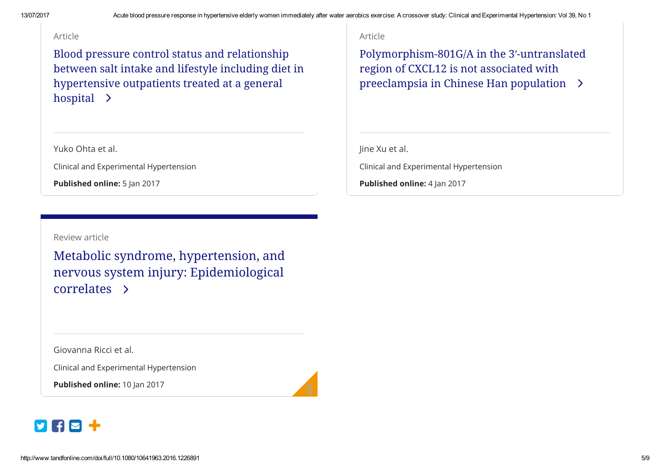მ |

#### Article

Blood pressure control status and relationship between salt intake and lifestyle including diet in [hypertensive](http://www.tandfonline.com/doi/full/10.1080/10641963.2016.1200605?src=recsys) outpatients treated at a general hospital

[Yuko](http://www.tandfonline.com/author/Ohta%2C+Yuko) Ohta et al.

Clinical and Experimental Hypertension

Published online: 5 Jan 2017

Article

[Polymorphism-801G/A](http://www.tandfonline.com/doi/full/10.1080/10641963.2016.1200598?src=recsys) in the 3′-untranslated region of CXCL12 is not associated with preeclampsia in Chinese Han population

[Jine](http://www.tandfonline.com/author/Xu%2C+Jine) Xu et al.

Clinical and Experimental Hypertension

Published online: 4 Jan 2017

Review article

Metabolic syndrome, hypertension, and nervous system injury: [Epidemiological](http://www.tandfonline.com/doi/full/10.1080/10641963.2016.1210629?src=recsys) correlates

[Giovanna](http://www.tandfonline.com/author/Ricci%2C+Giovanna) Ricci et al.

Clinical and Experimental Hypertension

Published online: 10 Jan 2017

# $\mathbf{y}$  f  $\mathbf{z}$  +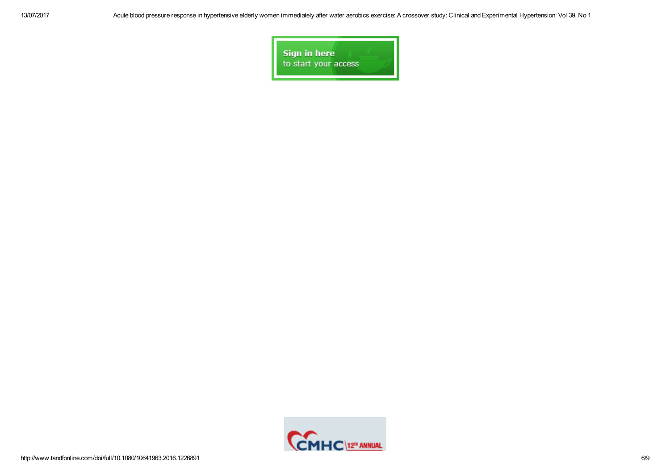

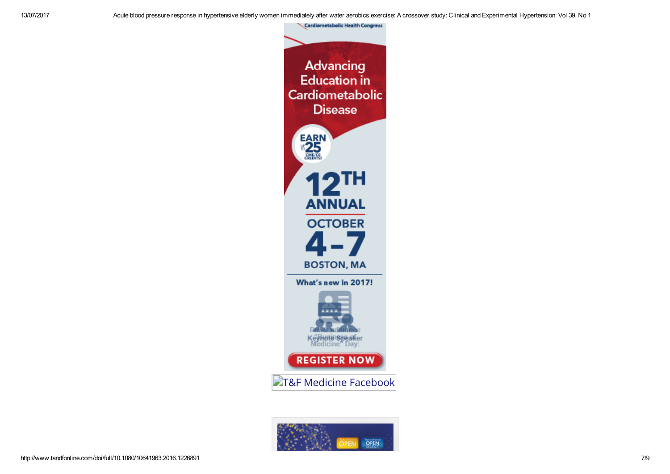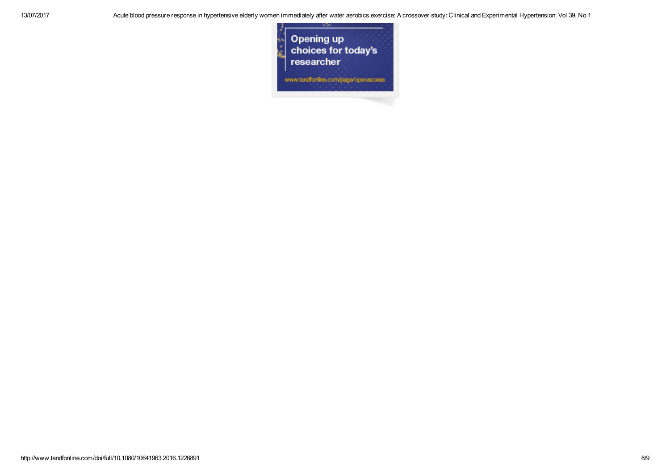